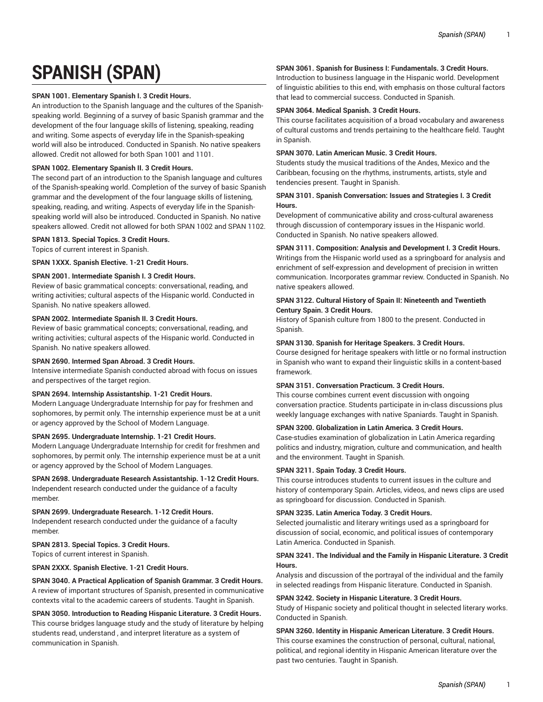# **SPANISH (SPAN)**

## **SPAN 1001. Elementary Spanish I. 3 Credit Hours.**

An introduction to the Spanish language and the cultures of the Spanishspeaking world. Beginning of a survey of basic Spanish grammar and the development of the four language skills of listening, speaking, reading and writing. Some aspects of everyday life in the Spanish-speaking world will also be introduced. Conducted in Spanish. No native speakers allowed. Credit not allowed for both Span 1001 and 1101.

## **SPAN 1002. Elementary Spanish II. 3 Credit Hours.**

The second part of an introduction to the Spanish language and cultures of the Spanish-speaking world. Completion of the survey of basic Spanish grammar and the development of the four language skills of listening, speaking, reading, and writing. Aspects of everyday life in the Spanishspeaking world will also be introduced. Conducted in Spanish. No native speakers allowed. Credit not allowed for both SPAN 1002 and SPAN 1102.

#### **SPAN 1813. Special Topics. 3 Credit Hours.**

Topics of current interest in Spanish.

#### **SPAN 1XXX. Spanish Elective. 1-21 Credit Hours.**

## **SPAN 2001. Intermediate Spanish I. 3 Credit Hours.**

Review of basic grammatical concepts: conversational, reading, and writing activities; cultural aspects of the Hispanic world. Conducted in Spanish. No native speakers allowed.

#### **SPAN 2002. Intermediate Spanish II. 3 Credit Hours.**

Review of basic grammatical concepts; conversational, reading, and writing activities; cultural aspects of the Hispanic world. Conducted in Spanish. No native speakers allowed.

## **SPAN 2690. Intermed Span Abroad. 3 Credit Hours.**

Intensive intermediate Spanish conducted abroad with focus on issues and perspectives of the target region.

## **SPAN 2694. Internship Assistantship. 1-21 Credit Hours.**

Modern Language Undergraduate Internship for pay for freshmen and sophomores, by permit only. The internship experience must be at a unit or agency approved by the School of Modern Language.

#### **SPAN 2695. Undergraduate Internship. 1-21 Credit Hours.**

Modern Language Undergraduate Internship for credit for freshmen and sophomores, by permit only. The internship experience must be at a unit or agency approved by the School of Modern Languages.

# **SPAN 2698. Undergraduate Research Assistantship. 1-12 Credit Hours.**

Independent research conducted under the guidance of a faculty member.

# **SPAN 2699. Undergraduate Research. 1-12 Credit Hours.**

Independent research conducted under the guidance of a faculty member.

# **SPAN 2813. Special Topics. 3 Credit Hours.**

Topics of current interest in Spanish.

**SPAN 2XXX. Spanish Elective. 1-21 Credit Hours.**

## **SPAN 3040. A Practical Application of Spanish Grammar. 3 Credit Hours.** A review of important structures of Spanish, presented in communicative contexts vital to the academic careers of students. Taught in Spanish.

**SPAN 3050. Introduction to Reading Hispanic Literature. 3 Credit Hours.** This course bridges language study and the study of literature by helping students read, understand , and interpret literature as a system of communication in Spanish.

# **SPAN 3061. Spanish for Business I: Fundamentals. 3 Credit Hours.**

Introduction to business language in the Hispanic world. Development of linguistic abilities to this end, with emphasis on those cultural factors that lead to commercial success. Conducted in Spanish.

## **SPAN 3064. Medical Spanish. 3 Credit Hours.**

This course facilitates acquisition of a broad vocabulary and awareness of cultural customs and trends pertaining to the healthcare field. Taught in Spanish.

## **SPAN 3070. Latin American Music. 3 Credit Hours.**

Students study the musical traditions of the Andes, Mexico and the Caribbean, focusing on the rhythms, instruments, artists, style and tendencies present. Taught in Spanish.

## **SPAN 3101. Spanish Conversation: Issues and Strategies I. 3 Credit Hours.**

Development of communicative ability and cross-cultural awareness through discussion of contemporary issues in the Hispanic world. Conducted in Spanish. No native speakers allowed.

## **SPAN 3111. Composition: Analysis and Development I. 3 Credit Hours.**

Writings from the Hispanic world used as a springboard for analysis and enrichment of self-expression and development of precision in written communication. Incorporates grammar review. Conducted in Spanish. No native speakers allowed.

## **SPAN 3122. Cultural History of Spain II: Nineteenth and Twentieth Century Spain. 3 Credit Hours.**

History of Spanish culture from 1800 to the present. Conducted in Spanish.

#### **SPAN 3130. Spanish for Heritage Speakers. 3 Credit Hours.**

Course designed for heritage speakers with little or no formal instruction in Spanish who want to expand their linguistic skills in a content-based framework.

## **SPAN 3151. Conversation Practicum. 3 Credit Hours.**

This course combines current event discussion with ongoing conversation practice. Students participate in in-class discussions plus weekly language exchanges with native Spaniards. Taught in Spanish.

## **SPAN 3200. Globalization in Latin America. 3 Credit Hours.**

Case-studies examination of globalization in Latin America regarding politics and industry, migration, culture and communication, and health and the environment. Taught in Spanish.

#### **SPAN 3211. Spain Today. 3 Credit Hours.**

This course introduces students to current issues in the culture and history of contemporary Spain. Articles, videos, and news clips are used as springboard for discussion. Conducted in Spanish.

## **SPAN 3235. Latin America Today. 3 Credit Hours.**

Selected journalistic and literary writings used as a springboard for discussion of social, economic, and political issues of contemporary Latin America. Conducted in Spanish.

## **SPAN 3241. The Individual and the Family in Hispanic Literature. 3 Credit Hours.**

Analysis and discussion of the portrayal of the individual and the family in selected readings from Hispanic literature. Conducted in Spanish.

#### **SPAN 3242. Society in Hispanic Literature. 3 Credit Hours.**

Study of Hispanic society and political thought in selected literary works. Conducted in Spanish.

## **SPAN 3260. Identity in Hispanic American Literature. 3 Credit Hours.** This course examines the construction of personal, cultural, national, political, and regional identity in Hispanic American literature over the past two centuries. Taught in Spanish.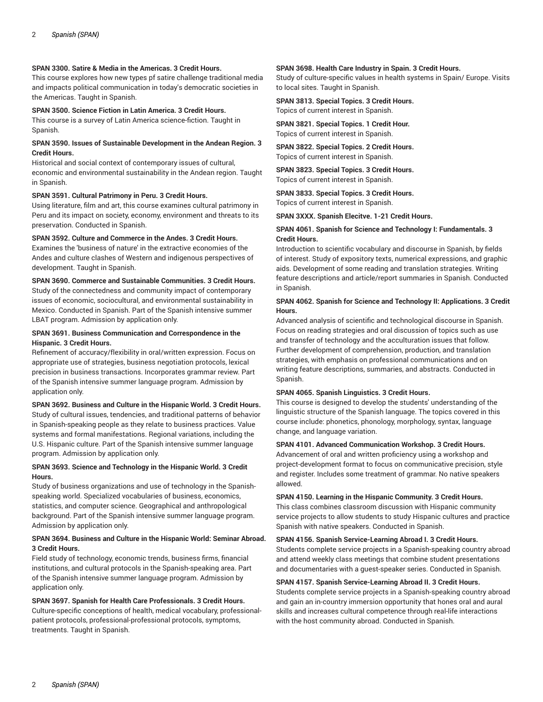## **SPAN 3300. Satire & Media in the Americas. 3 Credit Hours.**

This course explores how new types pf satire challenge traditional media and impacts political communication in today's democratic societies in the Americas. Taught in Spanish.

#### **SPAN 3500. Science Fiction in Latin America. 3 Credit Hours.**

This course is a survey of Latin America science-fiction. Taught in Spanish.

#### **SPAN 3590. Issues of Sustainable Development in the Andean Region. 3 Credit Hours.**

Historical and social context of contemporary issues of cultural, economic and environmental sustainability in the Andean region. Taught in Spanish.

#### **SPAN 3591. Cultural Patrimony in Peru. 3 Credit Hours.**

Using literature, film and art, this course examines cultural patrimony in Peru and its impact on society, economy, environment and threats to its preservation. Conducted in Spanish.

#### **SPAN 3592. Culture and Commerce in the Andes. 3 Credit Hours.**

Examines the 'business of nature' in the extractive economies of the Andes and culture clashes of Western and indigenous perspectives of development. Taught in Spanish.

#### **SPAN 3690. Commerce and Sustainable Communities. 3 Credit Hours.**

Study of the connectedness and community impact of contemporary issues of economic, sociocultural, and environmental sustainability in Mexico. Conducted in Spanish. Part of the Spanish intensive summer LBAT program. Admission by application only.

#### **SPAN 3691. Business Communication and Correspondence in the Hispanic. 3 Credit Hours.**

Refinement of accuracy/flexibility in oral/written expression. Focus on appropriate use of strategies, business negotiation protocols, lexical precision in business transactions. Incorporates grammar review. Part of the Spanish intensive summer language program. Admission by application only.

## **SPAN 3692. Business and Culture in the Hispanic World. 3 Credit Hours.**

Study of cultural issues, tendencies, and traditional patterns of behavior in Spanish-speaking people as they relate to business practices. Value systems and formal manifestations. Regional variations, including the U.S. Hispanic culture. Part of the Spanish intensive summer language program. Admission by application only.

## **SPAN 3693. Science and Technology in the Hispanic World. 3 Credit Hours.**

Study of business organizations and use of technology in the Spanishspeaking world. Specialized vocabularies of business, economics, statistics, and computer science. Geographical and anthropological background. Part of the Spanish intensive summer language program. Admission by application only.

## **SPAN 3694. Business and Culture in the Hispanic World: Seminar Abroad. 3 Credit Hours.**

Field study of technology, economic trends, business firms, financial institutions, and cultural protocols in the Spanish-speaking area. Part of the Spanish intensive summer language program. Admission by application only.

**SPAN 3697. Spanish for Health Care Professionals. 3 Credit Hours.** Culture-specific conceptions of health, medical vocabulary, professionalpatient protocols, professional-professional protocols, symptoms, treatments. Taught in Spanish.

## **SPAN 3698. Health Care Industry in Spain. 3 Credit Hours.**

Study of culture-specific values in health systems in Spain/ Europe. Visits to local sites. Taught in Spanish.

**SPAN 3813. Special Topics. 3 Credit Hours.** Topics of current interest in Spanish.

**SPAN 3821. Special Topics. 1 Credit Hour.** Topics of current interest in Spanish.

**SPAN 3822. Special Topics. 2 Credit Hours.** Topics of current interest in Spanish.

**SPAN 3823. Special Topics. 3 Credit Hours.** Topics of current interest in Spanish.

**SPAN 3833. Special Topics. 3 Credit Hours.** Topics of current interest in Spanish.

**SPAN 3XXX. Spanish Elecitve. 1-21 Credit Hours.**

## **SPAN 4061. Spanish for Science and Technology I: Fundamentals. 3 Credit Hours.**

Introduction to scientific vocabulary and discourse in Spanish, by fields of interest. Study of expository texts, numerical expressions, and graphic aids. Development of some reading and translation strategies. Writing feature descriptions and article/report summaries in Spanish. Conducted in Spanish.

## **SPAN 4062. Spanish for Science and Technology II: Applications. 3 Credit Hours.**

Advanced analysis of scientific and technological discourse in Spanish. Focus on reading strategies and oral discussion of topics such as use and transfer of technology and the acculturation issues that follow. Further development of comprehension, production, and translation strategies, with emphasis on professional communications and on writing feature descriptions, summaries, and abstracts. Conducted in Spanish.

#### **SPAN 4065. Spanish Linguistics. 3 Credit Hours.**

This course is designed to develop the students' understanding of the linguistic structure of the Spanish language. The topics covered in this course include: phonetics, phonology, morphology, syntax, language change, and language variation.

#### **SPAN 4101. Advanced Communication Workshop. 3 Credit Hours.**

Advancement of oral and written proficiency using a workshop and project-development format to focus on communicative precision, style and register. Includes some treatment of grammar. No native speakers allowed.

**SPAN 4150. Learning in the Hispanic Community. 3 Credit Hours.** This class combines classroom discussion with Hispanic community service projects to allow students to study Hispanic cultures and practice Spanish with native speakers. Conducted in Spanish.

#### **SPAN 4156. Spanish Service-Learning Abroad I. 3 Credit Hours.**

Students complete service projects in a Spanish-speaking country abroad and attend weekly class meetings that combine student presentations and documentaries with a guest-speaker series. Conducted in Spanish.

#### **SPAN 4157. Spanish Service-Learning Abroad II. 3 Credit Hours.**

Students complete service projects in a Spanish-speaking country abroad and gain an in-country immersion opportunity that hones oral and aural skills and increases cultural competence through real-life interactions with the host community abroad. Conducted in Spanish.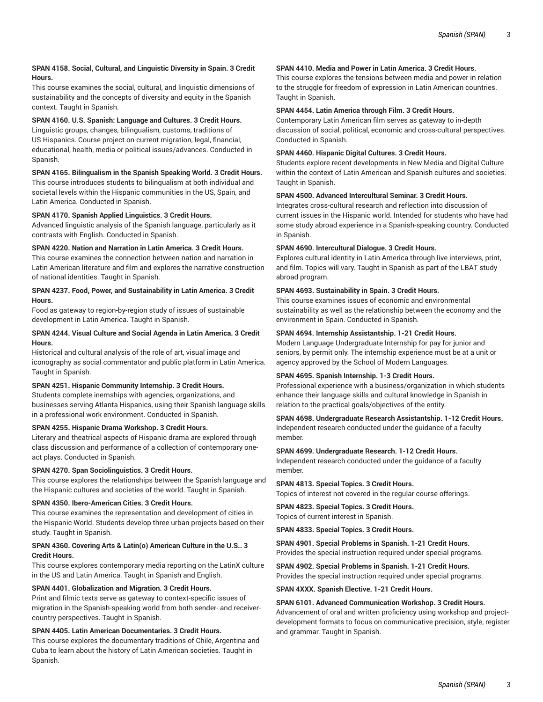## **SPAN 4158. Social, Cultural, and Linguistic Diversity in Spain. 3 Credit Hours.**

This course examines the social, cultural, and linguistic dimensions of sustainability and the concepts of diversity and equity in the Spanish context. Taught in Spanish.

## **SPAN 4160. U.S. Spanish: Language and Cultures. 3 Credit Hours.**

Linguistic groups, changes, bilingualism, customs, traditions of US Hispanics. Course project on current migration, legal, financial, educational, health, media or political issues/advances. Conducted in Spanish.

## **SPAN 4165. Bilingualism in the Spanish Speaking World. 3 Credit Hours.**

This course introduces students to bilingualism at both individual and societal levels within the Hispanic communities in the US, Spain, and Latin America. Conducted in Spanish.

## **SPAN 4170. Spanish Applied Linguistics. 3 Credit Hours.**

Advanced linguistic analysis of the Spanish language, particularly as it contrasts with English. Conducted in Spanish.

## **SPAN 4220. Nation and Narration in Latin America. 3 Credit Hours.**

This course examines the connection between nation and narration in Latin American literature and film and explores the narrative construction of national identities. Taught in Spanish.

#### **SPAN 4237. Food, Power, and Sustainability in Latin America. 3 Credit Hours.**

Food as gateway to region-by-region study of issues of sustainable development in Latin America. Taught in Spanish.

## **SPAN 4244. Visual Culture and Social Agenda in Latin America. 3 Credit Hours.**

Historical and cultural analysis of the role of art, visual image and iconography as social commentator and public platform in Latin America. Taught in Spanish.

## **SPAN 4251. Hispanic Community Internship. 3 Credit Hours.**

Students complete inernships with agencies, organizations, and businesses serving Atlanta Hispanics, using their Spanish language skills in a professional work environment. Conducted in Spanish.

## **SPAN 4255. Hispanic Drama Workshop. 3 Credit Hours.**

Literary and theatrical aspects of Hispanic drama are explored through class discussion and performance of a collection of contemporary oneact plays. Conducted in Spanish.

#### **SPAN 4270. Span Sociolinguistics. 3 Credit Hours.**

This course explores the relationships between the Spanish language and the Hispanic cultures and societies of the world. Taught in Spanish.

## **SPAN 4350. Ibero-American Cities. 3 Credit Hours.**

This course examines the representation and development of cities in the Hispanic World. Students develop three urban projects based on their study. Taught in Spanish.

## **SPAN 4360. Covering Arts & Latin(o) American Culture in the U.S.. 3 Credit Hours.**

This course explores contemporary media reporting on the LatinX culture in the US and Latin America. Taught in Spanish and English.

## **SPAN 4401. Globalization and Migration. 3 Credit Hours.**

Print and filmic texts serve as gateway to context-specific issues of migration in the Spanish-speaking world from both sender- and receivercountry perspectives. Taught in Spanish.

#### **SPAN 4405. Latin American Documentaries. 3 Credit Hours.**

This course explores the documentary traditions of Chile, Argentina and Cuba to learn about the history of Latin American societies. Taught in Spanish.

## **SPAN 4410. Media and Power in Latin America. 3 Credit Hours.**

This course explores the tensions between media and power in relation to the struggle for freedom of expression in Latin American countries. Taught in Spanish.

## **SPAN 4454. Latin America through Film. 3 Credit Hours.**

Contemporary Latin American film serves as gateway to in-depth discussion of social, political, economic and cross-cultural perspectives. Conducted in Spanish.

## **SPAN 4460. Hispanic Digital Cultures. 3 Credit Hours.**

Students explore recent developments in New Media and Digital Culture within the context of Latin American and Spanish cultures and societies. Taught in Spanish.

## **SPAN 4500. Advanced Intercultural Seminar. 3 Credit Hours.**

Integrates cross-cultural research and reflection into discussion of current issues in the Hispanic world. Intended for students who have had some study abroad experience in a Spanish-speaking country. Conducted in Spanish.

## **SPAN 4690. Intercultural Dialogue. 3 Credit Hours.**

Explores cultural identity in Latin America through live interviews, print, and film. Topics will vary. Taught in Spanish as part of the LBAT study abroad program.

## **SPAN 4693. Sustainability in Spain. 3 Credit Hours.**

This course examines issues of economic and environmental sustainability as well as the relationship between the economy and the environment in Spain. Conducted in Spanish.

#### **SPAN 4694. Internship Assistantship. 1-21 Credit Hours.**

Modern Language Undergraduate Internship for pay for junior and seniors, by permit only. The internship experience must be at a unit or agency approved by the School of Modern Languages.

## **SPAN 4695. Spanish Internship. 1-3 Credit Hours.**

Professional experience with a business/organization in which students enhance their language skills and cultural knowledge in Spanish in relation to the practical goals/objectives of the entity.

# **SPAN 4698. Undergraduate Research Assistantship. 1-12 Credit Hours.**

Independent research conducted under the guidance of a faculty member.

#### **SPAN 4699. Undergraduate Research. 1-12 Credit Hours.**

Independent research conducted under the guidance of a faculty member.

**SPAN 4813. Special Topics. 3 Credit Hours.** Topics of interest not covered in the regular course offerings.

**SPAN 4823. Special Topics. 3 Credit Hours.**

Topics of current interest in Spanish.

**SPAN 4833. Special Topics. 3 Credit Hours.**

**SPAN 4901. Special Problems in Spanish. 1-21 Credit Hours.** Provides the special instruction required under special programs.

## **SPAN 4902. Special Problems in Spanish. 1-21 Credit Hours.** Provides the special instruction required under special programs.

#### **SPAN 4XXX. Spanish Elective. 1-21 Credit Hours.**

#### **SPAN 6101. Advanced Communication Workshop. 3 Credit Hours.**

Advancement of oral and written proficiency using workshop and projectdevelopment formats to focus on communicative precision, style, register and grammar. Taught in Spanish.